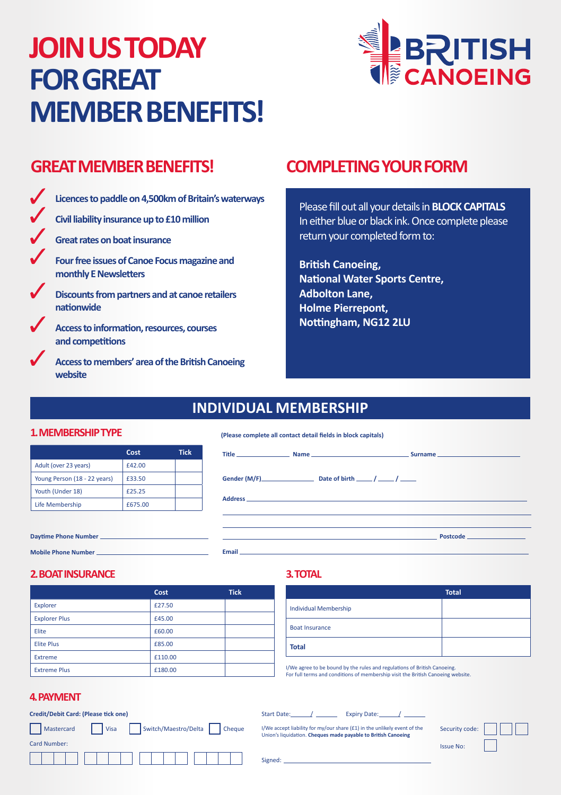# **JOIN US TODAY FOR GREAT MEMBER BENEFITS!**



# **GREAT MEMBER BENEFITS! COMPLETING YOUR FORM**

| Licences to paddle on 4,500km of Britain's waterways                  |
|-----------------------------------------------------------------------|
| Civil liability insurance up to £10 million                           |
| Great rates on boat insurance                                         |
| Four free issues of Canoe Focus magazine and<br>monthly E Newsletters |
| Discounts from partners and at canoe retailers<br>nationwide          |
| Access to information, resources, courses<br>and competitions         |
|                                                                       |

**Access to members' area of the British Canoeing website**

Please fill out all your details in **BLOCK CAPITALS** In either blue or black ink. Once complete please return your completed form to:

**British Canoeing, National Water Sports Centre, Adbolton Lane, Holme Pierrepont, Nottingham, NG12 2LU**

# **INDIVIDUAL MEMBERSHIP**

### **1. MEMBERSHIP TYPE**

|                              | Cost    | Tick |
|------------------------------|---------|------|
| Adult (over 23 years)        | f42.00  |      |
| Young Person (18 - 22 years) | £33.50  |      |
| Youth (Under 18)             | £25.25  |      |
| Life Membership              | £675.00 |      |

#### **(Please complete all contact detail fields in block capitals)**

| Email and the contract of the contract of the contract of the contract of the contract of the contract of the | the control of the control of the control of the control of the control of the control of the control of the control of the control of the control of the control of the control of the control of the control of the control |  | <b>Postcode</b> |
|---------------------------------------------------------------------------------------------------------------|-------------------------------------------------------------------------------------------------------------------------------------------------------------------------------------------------------------------------------|--|-----------------|

#### **2. BOAT INSURANCE**

**Daytime Phone Number Mobile Phone Number** 

|                      | Cost    | <b>Tick</b> |
|----------------------|---------|-------------|
| Explorer             | £27.50  |             |
| <b>Explorer Plus</b> | £45.00  |             |
| Elite                | £60.00  |             |
| <b>Elite Plus</b>    | £85.00  |             |
| <b>Extreme</b>       | £110.00 |             |
| <b>Extreme Plus</b>  | £180.00 |             |

### **3. TOTAL**

|                              | <b>Total</b> |
|------------------------------|--------------|
| <b>Individual Membership</b> |              |
| <b>Boat Insurance</b>        |              |
| <b>Total</b>                 |              |

I/We agree to be bound by the rules and regulations of British Canoeing. For full terms and conditions of membership visit the British Canoeing website.

### **4. PAYMENT**

| <b>Credit/Debit Card: (Please tick one)</b>            | Expiry Date:<br>Start Date:                                                                                                               |                  |
|--------------------------------------------------------|-------------------------------------------------------------------------------------------------------------------------------------------|------------------|
| Switch/Maestro/Delta<br>l Visa<br>Cheque<br>Mastercard | I/We accept liability for my/our share (£1) in the unlikely event of the<br>Union's liquidation. Cheques made payable to British Canoeing | Security code:   |
| Card Number:                                           |                                                                                                                                           | <b>Issue No:</b> |
|                                                        | Signed:                                                                                                                                   |                  |